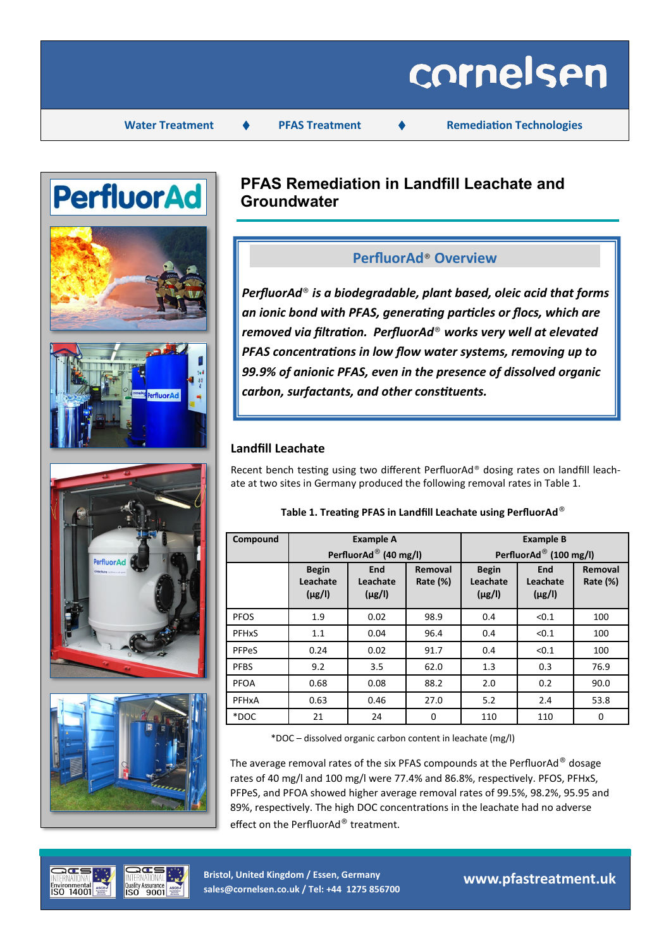# cornelsen

**Water Treatment ♦ PFAS Treatment ♦ Remediation Technologies** 



# **PFAS Remediation in Landfill Leachate and Groundwater**

## **PerfluorAd**® **Overview**

*PerfluorAd*® *is a biodegradable, plant based, oleic acid that forms an ionic bond with PFAS, generating particles or flocs, which are removed via filtration. PerfluorAd*® *works very well at elevated PFAS concentrations in low flow water systems, removing up to 99.9% of anionic PFAS, even in the presence of dissolved organic carbon, surfactants, and other constituents.* 

### **Landfill Leachate**

Recent bench testing using two different PerfluorAd® dosing rates on landfill leachate at two sites in Germany produced the following removal rates in Table 1.

| Compound                |                                         | <b>Example A</b>               |                        | <b>Example B</b>                        |                                       |                        |  |
|-------------------------|-----------------------------------------|--------------------------------|------------------------|-----------------------------------------|---------------------------------------|------------------------|--|
|                         |                                         | PerfluorAd® (40 mg/l)          |                        | PerfluorAd® (100 mg/l)                  |                                       |                        |  |
|                         | <b>Begin</b><br>Leachate<br>$(\mu$ g/l) | End<br>Leachate<br>$(\mu g/l)$ | Removal<br>Rate $(\%)$ | <b>Begin</b><br>Leachate<br>$(\mu g/l)$ | <b>End</b><br>Leachate<br>$(\mu g/l)$ | Removal<br>Rate $(\%)$ |  |
| <b>PFOS</b>             | 1.9                                     | 0.02                           | 98.9                   | 0.4                                     | < 0.1                                 | 100                    |  |
| <b>PFH<sub>x</sub>S</b> | 1.1                                     | 0.04                           | 96.4                   | 0.4                                     | < 0.1                                 | 100                    |  |
| PFPeS                   | 0.24                                    | 0.02                           | 91.7                   | 0.4                                     | < 0.1                                 | 100                    |  |
| <b>PFBS</b>             | 9.2                                     | 3.5                            | 62.0                   | 1.3                                     | 0.3                                   | 76.9                   |  |
| <b>PFOA</b>             | 0.68                                    | 0.08                           | 88.2                   | 2.0                                     | 0.2                                   | 90.0                   |  |
| PFHxA                   | 0.63                                    | 0.46                           | 27.0                   | 5.2                                     | 2.4                                   | 53.8                   |  |
| *DOC                    | 21                                      | 24                             | 0                      | 110                                     | 110                                   | 0                      |  |

#### **Table 1. Treating PFAS in Landfill Leachate using PerfluorAd**®

\*DOC – dissolved organic carbon content in leachate (mg/l)

The average removal rates of the six PFAS compounds at the PerfluorAd® dosage rates of 40 mg/l and 100 mg/l were 77.4% and 86.8%, respectively. PFOS, PFHxS, PFPeS, and PFOA showed higher average removal rates of 99.5%, 98.2%, 95.95 and 89%, respectively. The high DOC concentrations in the leachate had no adverse effect on the PerfluorAd® treatment.